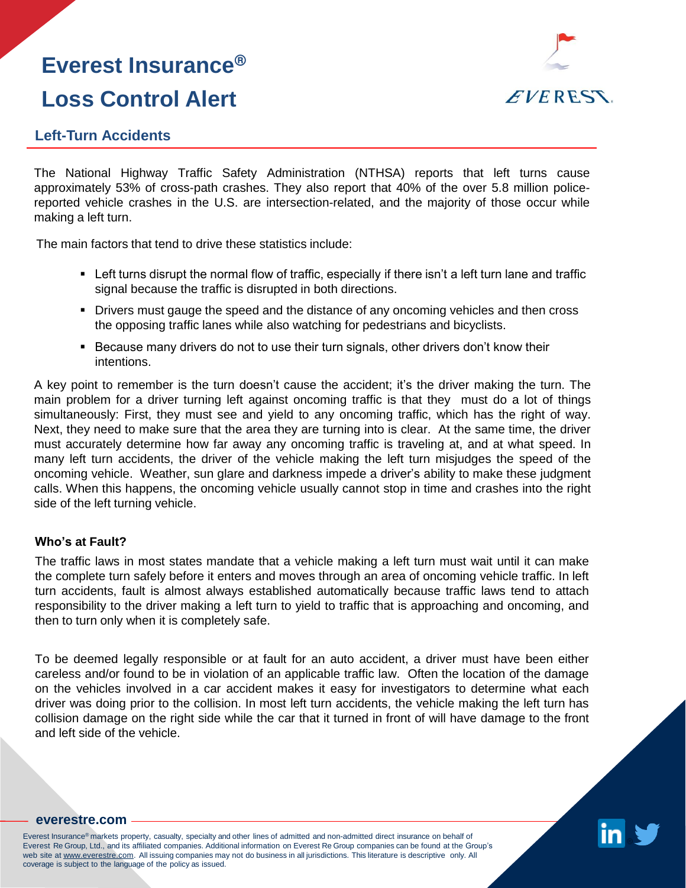# **Everest Insurance® Loss Control Alert**



### **Left-Turn Accidents**

The National Highway Traffic Safety Administration (NTHSA) reports that left turns cause approximately 53% of cross-path crashes. They also report that 40% of the over 5.8 million policereported vehicle crashes in the U.S. are intersection-related, and the majority of those occur while making a left turn.

The main factors that tend to drive these statistics include:

- Left turns disrupt the normal flow of traffic, especially if there isn't a left turn lane and traffic signal because the traffic is disrupted in both directions.
- Drivers must gauge the speed and the distance of any oncoming vehicles and then cross the opposing traffic lanes while also watching for pedestrians and bicyclists.
- Because many drivers do not to use their turn signals, other drivers don't know their intentions.

A key point to remember is the turn doesn't cause the accident; it's the driver making the turn. The main problem for a driver turning left against oncoming traffic is that they must do a lot of things simultaneously: First, they must see and yield to any oncoming traffic, which has the right of way. Next, they need to make sure that the area they are turning into is clear. At the same time, the driver must accurately determine how far away any oncoming traffic is traveling at, and at what speed. In many left turn accidents, the driver of the vehicle making the left turn misjudges the speed of the oncoming vehicle. Weather, sun glare and darkness impede a driver's ability to make these judgment calls. When this happens, the oncoming vehicle usually cannot stop in time and crashes into the right side of the left turning vehicle.

### **Who's at Fault?**

The traffic laws in most states mandate that a vehicle making a left turn must wait until it can make the complete turn safely before it enters and moves through an area of oncoming vehicle traffic. In left turn accidents, fault is almost always established automatically because traffic laws tend to attach responsibility to the driver making a left turn to yield to traffic that is approaching and oncoming, and then to turn only when it is completely safe.

To be deemed legally responsible or at fault for an auto accident, a driver must have been either careless and/or found to be in violation of an applicable traffic law. Often the location of the damage on the vehicles involved in a car accident makes it easy for investigators to determine what each driver was doing prior to the collision. In most left turn accidents, the vehicle making the left turn has collision damage on the right side while the car that it turned in front of will have damage to the front and left side of the vehicle.



#### **[everestre.com](http://www.everestre.com/)**

Everest Insurance® markets property, casualty, specialty and other lines of admitted and non-admitted direct insurance on behalf of Everest Re Group, Ltd., and its affiliated companies. Additional information on Everest Re Group companies can be found at the Group's web site at www.everestre.com. All issuing companies may not do business in all jurisdictions. This literature is descriptive only. All coverage is subject to the language of the policy as issued.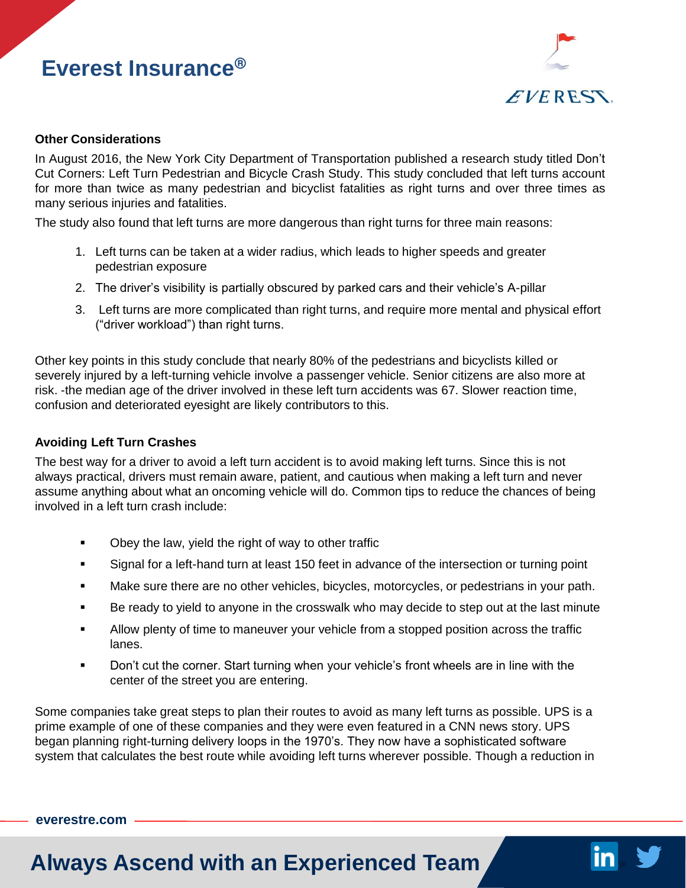# **Everest Insurance®**



#### **Other Considerations**

In August 2016, the New York City Department of Transportation published a research study titled Don't Cut Corners: Left Turn Pedestrian and Bicycle Crash Study. This study concluded that left turns account for more than twice as many pedestrian and bicyclist fatalities as right turns and over three times as many serious injuries and fatalities.

The study also found that left turns are more dangerous than right turns for three main reasons:

- 1. Left turns can be taken at a wider radius, which leads to higher speeds and greater pedestrian exposure
- 2. The driver's visibility is partially obscured by parked cars and their vehicle's A-pillar
- 3. Left turns are more complicated than right turns, and require more mental and physical effort ("driver workload") than right turns.

Other key points in this study conclude that nearly 80% of the pedestrians and bicyclists killed or severely injured by a left-turning vehicle involve a passenger vehicle. Senior citizens are also more at risk. -the median age of the driver involved in these left turn accidents was 67. Slower reaction time, confusion and deteriorated eyesight are likely contributors to this.

#### **Avoiding Left Turn Crashes**

The best way for a driver to avoid a left turn accident is to avoid making left turns. Since this is not always practical, drivers must remain aware, patient, and cautious when making a left turn and never assume anything about what an oncoming vehicle will do. Common tips to reduce the chances of being involved in a left turn crash include:

- Obey the law, yield the right of way to other traffic
- Signal for a left-hand turn at least 150 feet in advance of the intersection or turning point
- **Make sure there are no other vehicles, bicycles, motorcycles, or pedestrians in your path.**
- Be ready to yield to anyone in the crosswalk who may decide to step out at the last minute
- Allow plenty of time to maneuver your vehicle from a stopped position across the traffic lanes.
- **Don't cut the corner. Start turning when your vehicle's front wheels are in line with the** center of the street you are entering.

Some companies take great steps to plan their routes to avoid as many left turns as possible. UPS is a prime example of one of these companies and they were even featured in a CNN news story. UPS began planning right-turning delivery loops in the 1970's. They now have a sophisticated software system that calculates the best route while avoiding left turns wherever possible. Though a reduction in

#### **[everestre.com](http://www.everestre.com/)**

### **Always Ascend with an Experienced Team**